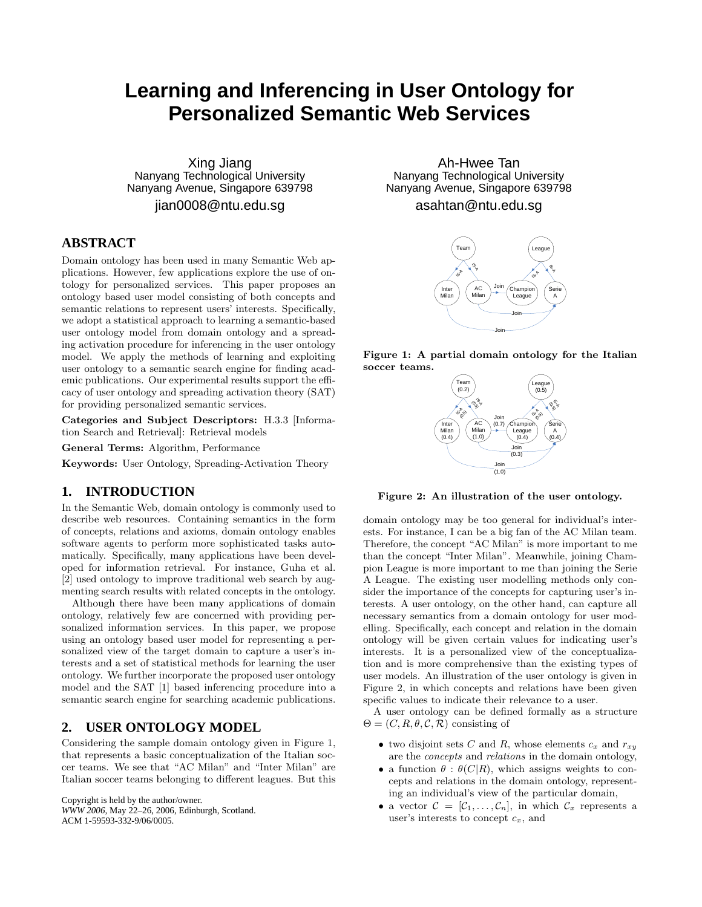# **Learning and Inferencing in User Ontology for Personalized Semantic Web Services**

Xing Jiang Nanyang Technological University Nanyang Avenue, Singapore 639798

jian0008@ntu.edu.sg

# **ABSTRACT**

Domain ontology has been used in many Semantic Web applications. However, few applications explore the use of ontology for personalized services. This paper proposes an ontology based user model consisting of both concepts and semantic relations to represent users' interests. Specifically, we adopt a statistical approach to learning a semantic-based user ontology model from domain ontology and a spreading activation procedure for inferencing in the user ontology model. We apply the methods of learning and exploiting user ontology to a semantic search engine for finding academic publications. Our experimental results support the efficacy of user ontology and spreading activation theory (SAT) for providing personalized semantic services.

Categories and Subject Descriptors: H.3.3 [Information Search and Retrieval]: Retrieval models

General Terms: Algorithm, Performance

Keywords: User Ontology, Spreading-Activation Theory

## **1. INTRODUCTION**

In the Semantic Web, domain ontology is commonly used to describe web resources. Containing semantics in the form of concepts, relations and axioms, domain ontology enables software agents to perform more sophisticated tasks automatically. Specifically, many applications have been developed for information retrieval. For instance, Guha et al. [2] used ontology to improve traditional web search by augmenting search results with related concepts in the ontology.

Although there have been many applications of domain ontology, relatively few are concerned with providing personalized information services. In this paper, we propose using an ontology based user model for representing a personalized view of the target domain to capture a user's interests and a set of statistical methods for learning the user ontology. We further incorporate the proposed user ontology model and the SAT [1] based inferencing procedure into a semantic search engine for searching academic publications.

## **2. USER ONTOLOGY MODEL**

Considering the sample domain ontology given in Figure 1, that represents a basic conceptualization of the Italian soccer teams. We see that "AC Milan" and "Inter Milan" are Italian soccer teams belonging to different leagues. But this

Copyright is held by the author/owner. *WWW 2006,* May 22–26, 2006, Edinburgh, Scotland. ACM 1-59593-332-9/06/0005.

Ah-Hwee Tan Nanyang Technological University Nanyang Avenue, Singapore 639798

asahtan@ntu.edu.sg



Figure 1: A partial domain ontology for the Italian soccer teams.



Figure 2: An illustration of the user ontology.

domain ontology may be too general for individual's interests. For instance, I can be a big fan of the AC Milan team. Therefore, the concept "AC Milan" is more important to me than the concept "Inter Milan". Meanwhile, joining Champion League is more important to me than joining the Serie A League. The existing user modelling methods only consider the importance of the concepts for capturing user's interests. A user ontology, on the other hand, can capture all necessary semantics from a domain ontology for user modelling. Specifically, each concept and relation in the domain ontology will be given certain values for indicating user's interests. It is a personalized view of the conceptualization and is more comprehensive than the existing types of user models. An illustration of the user ontology is given in Figure 2, in which concepts and relations have been given specific values to indicate their relevance to a user.

A user ontology can be defined formally as a structure  $\Theta = (C, R, \theta, C, \mathcal{R})$  consisting of

- two disjoint sets C and R, whose elements  $c_x$  and  $r_{xy}$ are the concepts and relations in the domain ontology,
- a function  $\theta : \theta(C|R)$ , which assigns weights to concepts and relations in the domain ontology, representing an individual's view of the particular domain,
- a vector  $\mathcal{C} = [\mathcal{C}_1, \ldots, \mathcal{C}_n]$ , in which  $\mathcal{C}_x$  represents a user's interests to concept  $c_x$ , and